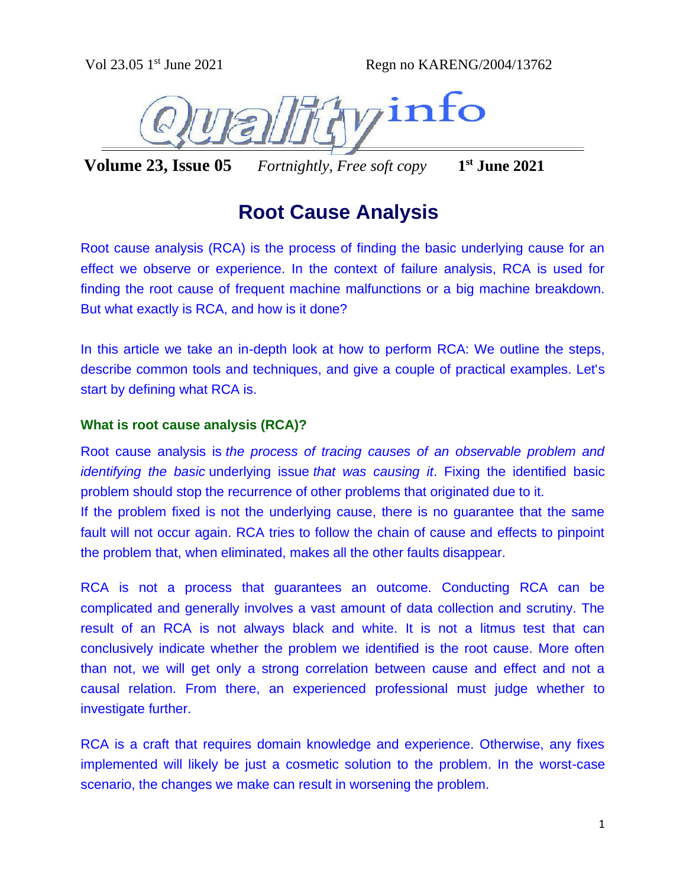

**Volume 23, Issue 05** *Fortnightly, Free soft copy* **1 st June 2021**

# **Root Cause Analysis**

Root cause analysis (RCA) is the process of finding the basic underlying cause for an effect we observe or experience. In the context of failure analysis, RCA is used for finding the root cause of frequent machine malfunctions or a big machine breakdown. But what exactly is RCA, and how is it done?

In this article we take an in-depth look at how to perform RCA: We outline the steps, describe common tools and techniques, and give a couple of practical examples. Let's start by defining what RCA is.

## **What is root cause analysis (RCA)?**

Root cause analysis is *the process of tracing causes of an observable problem and identifying the basic* underlying issue *that was causing it*. Fixing the identified basic problem should stop the recurrence of other problems that originated due to it. If the problem fixed is not the underlying cause, there is no guarantee that the same fault will not occur again. RCA tries to follow the chain of cause and effects to pinpoint the problem that, when eliminated, makes all the other faults disappear.

RCA is not a process that guarantees an outcome. Conducting RCA can be complicated and generally involves a vast amount of data collection and scrutiny. The result of an RCA is not always black and white. It is not a litmus test that can conclusively indicate whether the problem we identified is the root cause. More often than not, we will get only a strong correlation between cause and effect and not a causal relation. From there, an experienced professional must judge whether to investigate further.

RCA is a craft that requires domain knowledge and experience. Otherwise, any fixes implemented will likely be just a cosmetic solution to the problem. In the worst-case scenario, the changes we make can result in worsening the problem.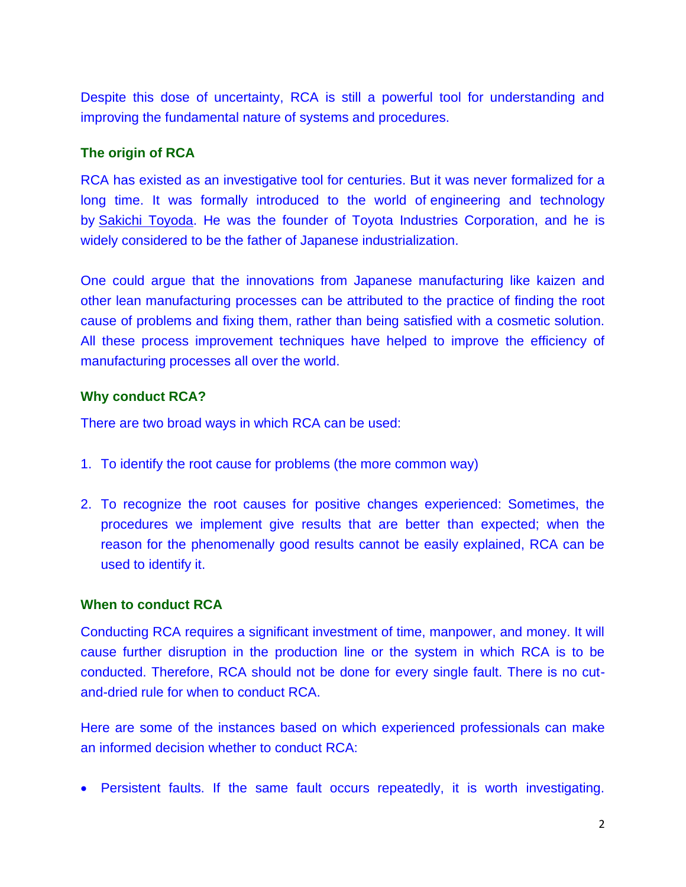Despite this dose of uncertainty, RCA is still a powerful tool for understanding and improving the fundamental nature of systems and procedures.

# **The origin of RCA**

RCA has existed as an investigative tool for centuries. But it was never formalized for a long time. It was formally introduced to the world of engineering and technology by [Sakichi Toyoda.](https://www.toyota-industries.com/company/history/toyoda_sakichi/) He was the founder of Toyota Industries Corporation, and he is widely considered to be the father of Japanese industrialization.

One could argue that the innovations from Japanese manufacturing like kaizen and other lean manufacturing processes can be attributed to the practice of finding the root cause of problems and fixing them, rather than being satisfied with a cosmetic solution. All these process improvement techniques have helped to improve the efficiency of manufacturing processes all over the world.

# **Why conduct RCA?**

There are two broad ways in which RCA can be used:

- 1. To identify the root cause for problems (the more common way)
- 2. To recognize the root causes for positive changes experienced: Sometimes, the procedures we implement give results that are better than expected; when the reason for the phenomenally good results cannot be easily explained, RCA can be used to identify it.

## **When to conduct RCA**

Conducting RCA requires a significant investment of time, manpower, and money. It will cause further disruption in the production line or the system in which RCA is to be conducted. Therefore, RCA should not be done for every single fault. There is no cutand-dried rule for when to conduct RCA.

Here are some of the instances based on which experienced professionals can make an informed decision whether to conduct RCA:

• Persistent faults. If the same fault occurs repeatedly, it is worth investigating.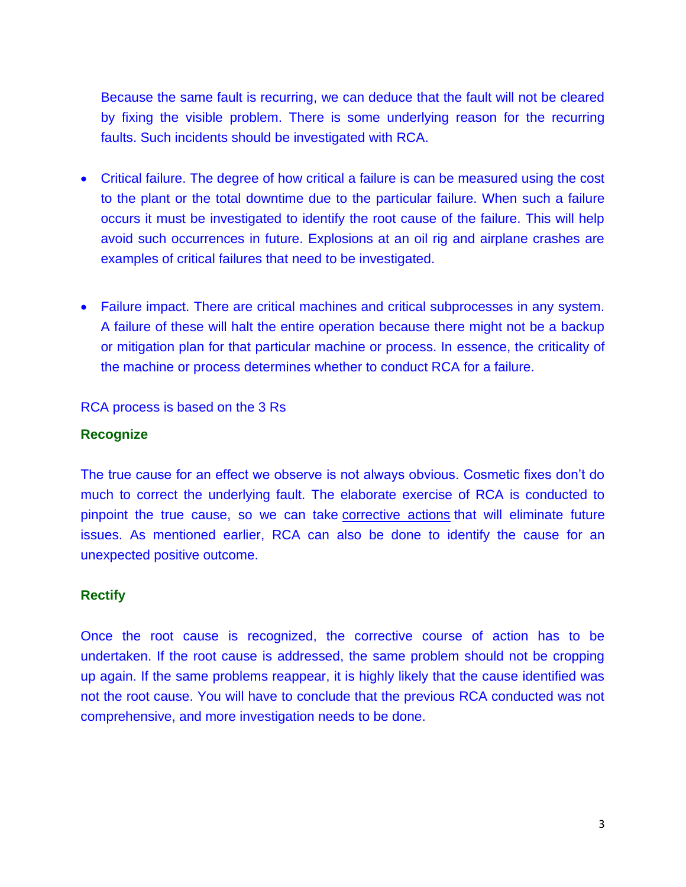Because the same fault is recurring, we can deduce that the fault will not be cleared by fixing the visible problem. There is some underlying reason for the recurring faults. Such incidents should be investigated with RCA.

- Critical failure. The degree of how critical a failure is can be measured using the cost to the plant or the total downtime due to the particular failure. When such a failure occurs it must be investigated to identify the root cause of the failure. This will help avoid such occurrences in future. Explosions at an oil rig and airplane crashes are examples of critical failures that need to be investigated.
- Failure impact. There are critical machines and critical subprocesses in any system. A failure of these will halt the entire operation because there might not be a backup or mitigation plan for that particular machine or process. In essence, the criticality of the machine or process determines whether to conduct RCA for a failure.

RCA process is based on the 3 Rs

# **Recognize**

The true cause for an effect we observe is not always obvious. Cosmetic fixes don't do much to correct the underlying fault. The elaborate exercise of RCA is conducted to pinpoint the true cause, so we can take [corrective actions](https://limblecmms.com/blog/corrective-maintenance/) that will eliminate future issues. As mentioned earlier, RCA can also be done to identify the cause for an unexpected positive outcome.

## **Rectify**

Once the root cause is recognized, the corrective course of action has to be undertaken. If the root cause is addressed, the same problem should not be cropping up again. If the same problems reappear, it is highly likely that the cause identified was not the root cause. You will have to conclude that the previous RCA conducted was not comprehensive, and more investigation needs to be done.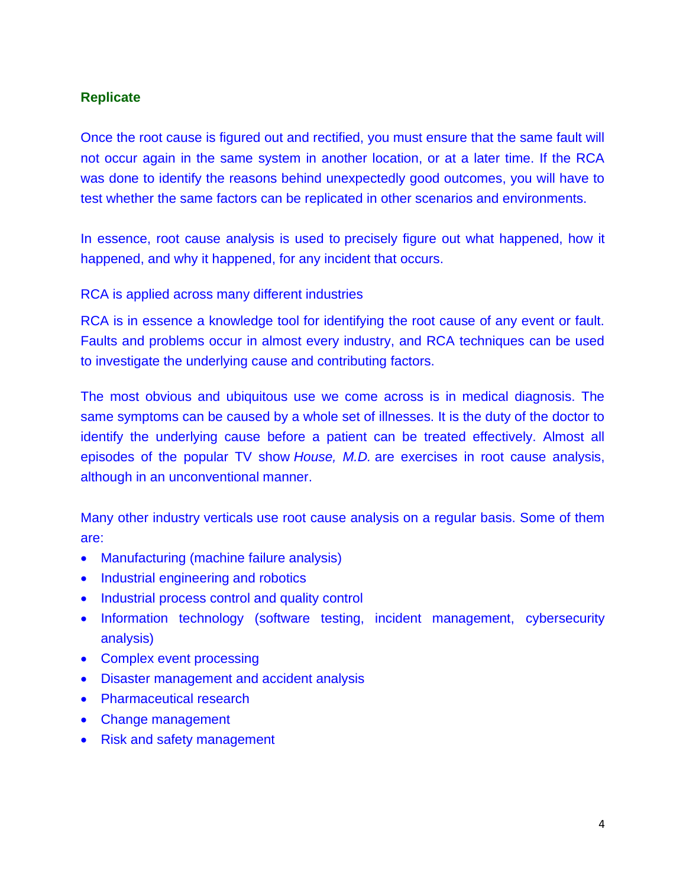# **Replicate**

Once the root cause is figured out and rectified, you must ensure that the same fault will not occur again in the same system in another location, or at a later time. If the RCA was done to identify the reasons behind unexpectedly good outcomes, you will have to test whether the same factors can be replicated in other scenarios and environments.

In essence, root cause analysis is used to precisely figure out what happened, how it happened, and why it happened, for any incident that occurs.

RCA is applied across many different industries

RCA is in essence a knowledge tool for identifying the root cause of any event or fault. Faults and problems occur in almost every industry, and RCA techniques can be used to investigate the underlying cause and contributing factors.

The most obvious and ubiquitous use we come across is in medical diagnosis. The same symptoms can be caused by a whole set of illnesses. It is the duty of the doctor to identify the underlying cause before a patient can be treated effectively. Almost all episodes of the popular TV show *[House, M.D.](https://medium.engineering/if-dr-house-did-devops-77322a7baf09)* are exercises in root cause analysis, although in an unconventional manner.

Many other industry verticals use root cause analysis on a regular basis. Some of them are:

- Manufacturing (machine failure analysis)
- Industrial engineering and robotics
- Industrial process control and quality control
- Information technology (software testing, incident management, cybersecurity analysis)
- Complex event processing
- [Disaster management](https://theconversation.com/understanding-the-root-causes-of-natural-disasters-80017) and accident analysis
- Pharmaceutical research
- Change management
- [Risk and safety management](https://www.osha.gov/sites/default/files/publications/OSHA3895.pdf)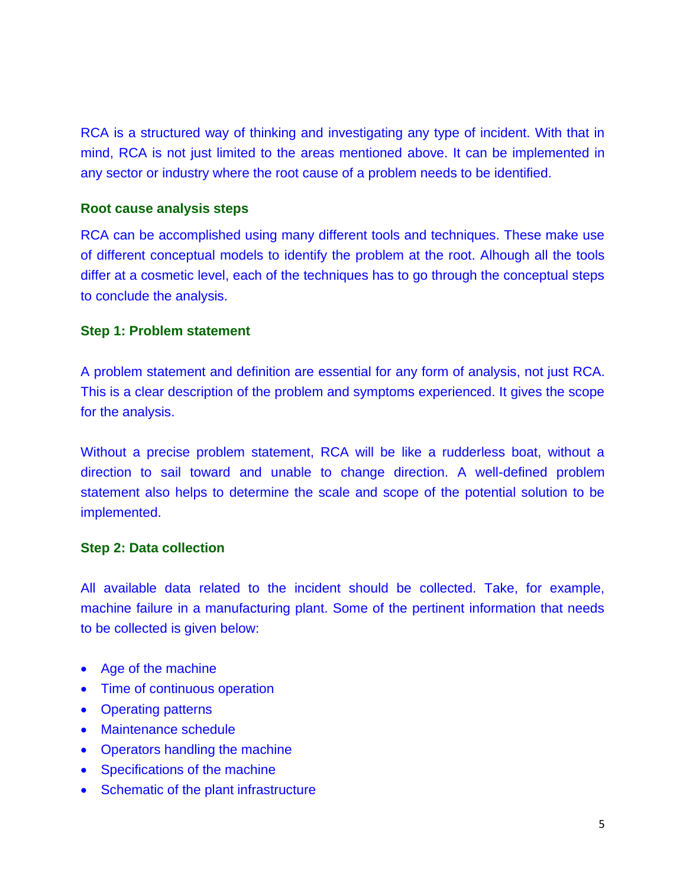RCA is a structured way of thinking and investigating any type of incident. With that in mind, RCA is not just limited to the areas mentioned above. It can be implemented in any sector or industry where the root cause of a problem needs to be identified.

#### **Root cause analysis steps**

RCA can be accomplished using many different tools and techniques. These make use of different conceptual models to identify the problem at the root. Alhough all the tools differ at a cosmetic level, each of the techniques has to go through the conceptual steps to conclude the analysis.

#### **Step 1: Problem statement**

A problem statement and definition are essential for any form of analysis, not just RCA. This is a clear description of the problem and symptoms experienced. It gives the scope for the analysis.

Without a precise problem statement, RCA will be like a rudderless boat, without a direction to sail toward and unable to change direction. A well-defined problem statement also helps to determine the scale and scope of the potential solution to be implemented.

#### **Step 2: Data collection**

All available data related to the incident should be collected. Take, for example, machine failure in a manufacturing plant. Some of the pertinent information that needs to be collected is given below:

- Age of the machine
- Time of continuous operation
- Operating patterns
- Maintenance schedule
- Operators handling the machine
- Specifications of the machine
- Schematic of the plant infrastructure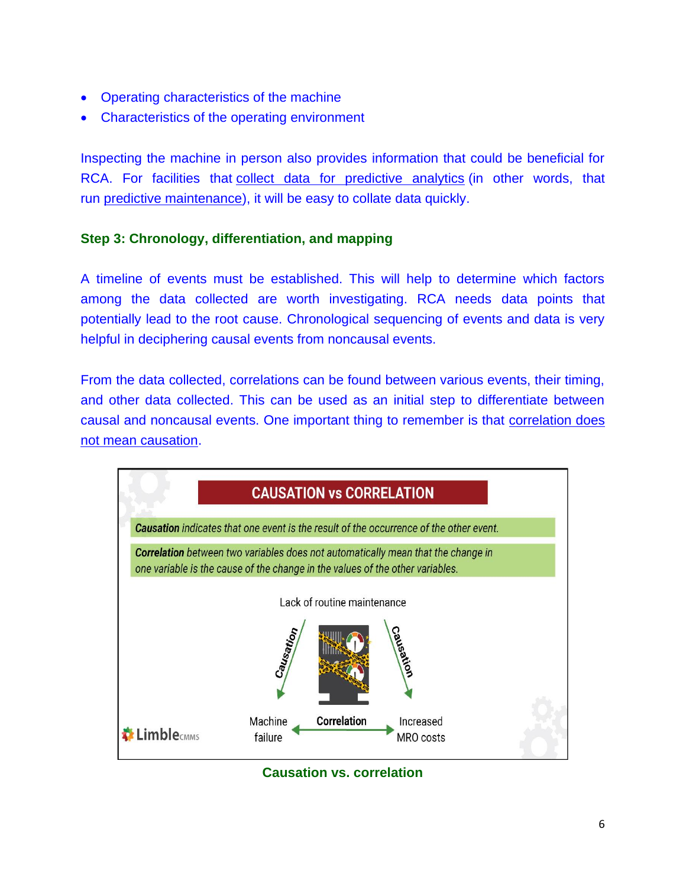- Operating characteristics of the machine
- Characteristics of the operating environment

Inspecting the machine in person also provides information that could be beneficial for RCA. For facilities that [collect data for predictive analytics](https://limblecmms.com/predictive-maintenance/predictive-maintenance-analytics/) (in other words, that run [predictive maintenance\)](https://limblecmms.com/predictive-maintenance/), it will be easy to collate data quickly.

# **Step 3: Chronology, differentiation, and mapping**

A timeline of events must be established. This will help to determine which factors among the data collected are worth investigating. RCA needs data points that potentially lead to the root cause. Chronological sequencing of events and data is very helpful in deciphering causal events from noncausal events.

From the data collected, correlations can be found between various events, their timing, and other data collected. This can be used as an initial step to differentiate between causal and noncausal events. One important thing to remember is that [correlation does](https://clevertap.com/blog/correlation-vs-causation/)  [not mean causation.](https://clevertap.com/blog/correlation-vs-causation/)



**Causation vs. correlation**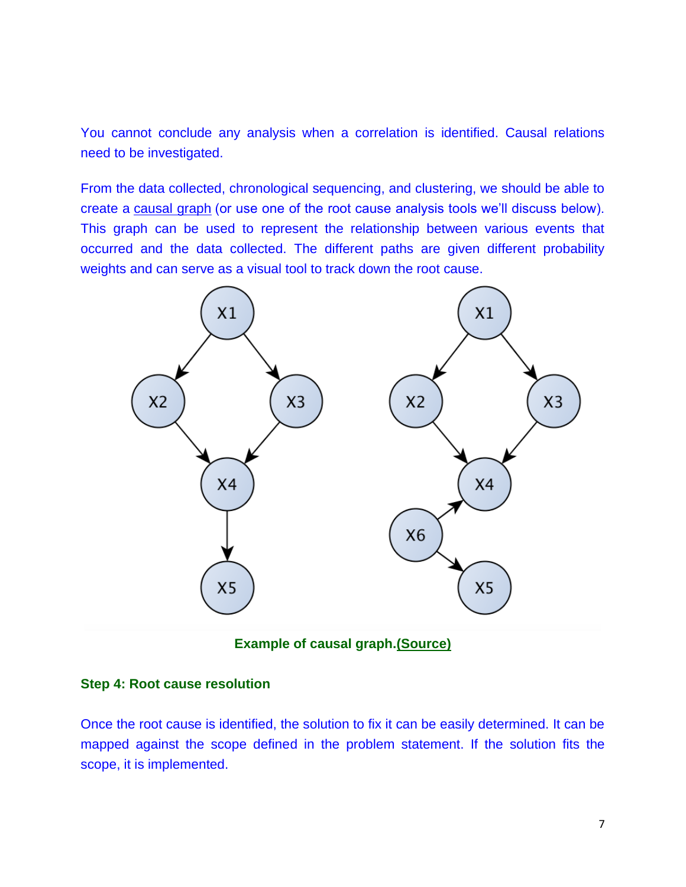You cannot conclude any analysis when a correlation is identified. Causal relations need to be investigated.

From the data collected, chronological sequencing, and clustering, we should be able to create a [causal graph](https://towardsdatascience.com/use-causal-graphs-4e3af630cf64) (or use one of the root cause analysis tools we'll discuss below). This graph can be used to represent the relationship between various events that occurred and the data collected. The different paths are given different probability weights and can serve as a visual tool to track down the root cause.



**Example of causal graph[.\(Source\)](https://medium.com/@akelleh/causal-graph-inference-b3e3afd47110)**

#### **Step 4: Root cause resolution**

Once the root cause is identified, the solution to fix it can be easily determined. It can be mapped against the scope defined in the problem statement. If the solution fits the scope, it is implemented.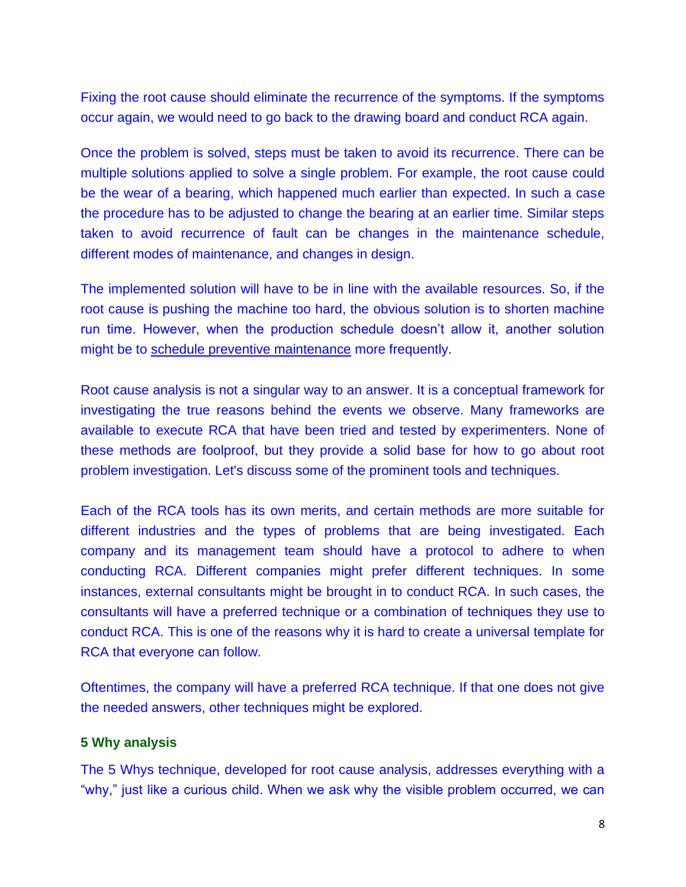Fixing the root cause should eliminate the recurrence of the symptoms. If the symptoms occur again, we would need to go back to the drawing board and conduct RCA again.

Once the problem is solved, steps must be taken to avoid its recurrence. There can be multiple solutions applied to solve a single problem. For example, the root cause could be the wear of a bearing, which happened much earlier than expected. In such a case the procedure has to be adjusted to change the bearing at an earlier time. Similar steps taken to avoid recurrence of fault can be changes in the maintenance schedule, different modes of maintenance, and changes in design.

The implemented solution will have to be in line with the available resources. So, if the root cause is pushing the machine too hard, the obvious solution is to shorten machine run time. However, when the production schedule doesn't allow it, another solution might be to [schedule preventive maintenance](https://limblecmms.com/blog/the-ridiculously-simple-preventive-maintenance-plan/) more frequently.

Root cause analysis is not a singular way to an answer. It is a conceptual framework for investigating the true reasons behind the events we observe. Many frameworks are available to execute RCA that have been tried and tested by experimenters. None of these methods are foolproof, but they provide a solid base for how to go about root problem investigation. Let's discuss some of the prominent tools and techniques.

Each of the RCA tools has its own merits, and certain methods are more suitable for different industries and the types of problems that are being investigated. Each company and its management team should have a protocol to adhere to when conducting RCA. Different companies might prefer different techniques. In some instances, external consultants might be brought in to conduct RCA. In such cases, the consultants will have a preferred technique or a combination of techniques they use to conduct RCA. This is one of the reasons why it is hard to create a universal template for RCA that everyone can follow.

Oftentimes, the company will have a preferred RCA technique. If that one does not give the needed answers, other techniques might be explored.

## **5 Why analysis**

The 5 Whys technique, developed for root cause analysis, addresses everything with a "why," just like a curious child. When we ask why the visible problem occurred, we can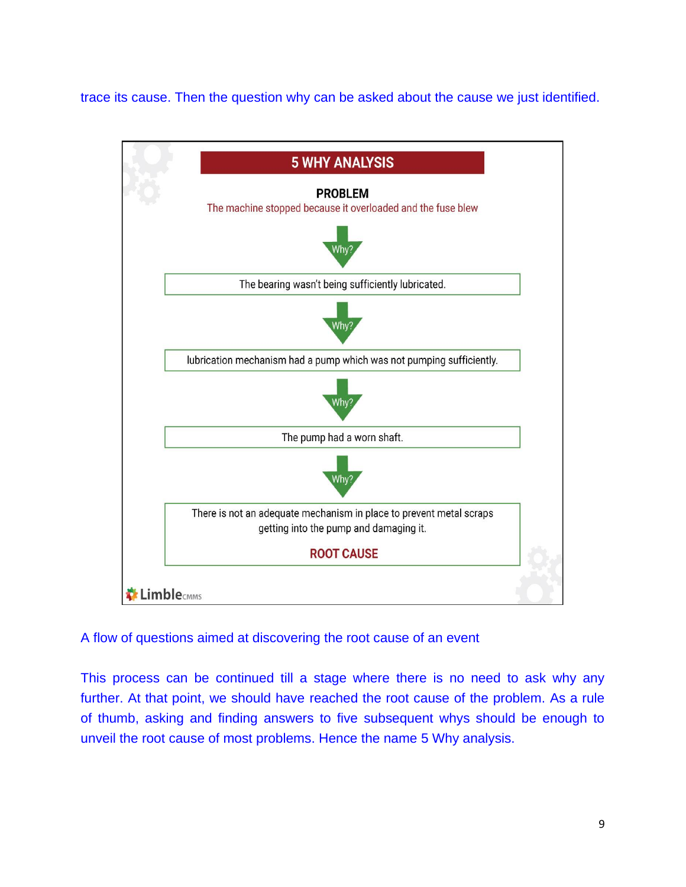trace its cause. Then the question why can be asked about the cause we just identified.



# A flow of questions aimed at discovering the root cause of an event

This process can be continued till a stage where there is no need to ask why any further. At that point, we should have reached the root cause of the problem. As a rule of thumb, asking and finding answers to five subsequent whys should be enough to unveil the root cause of most problems. Hence the name 5 Why analysis.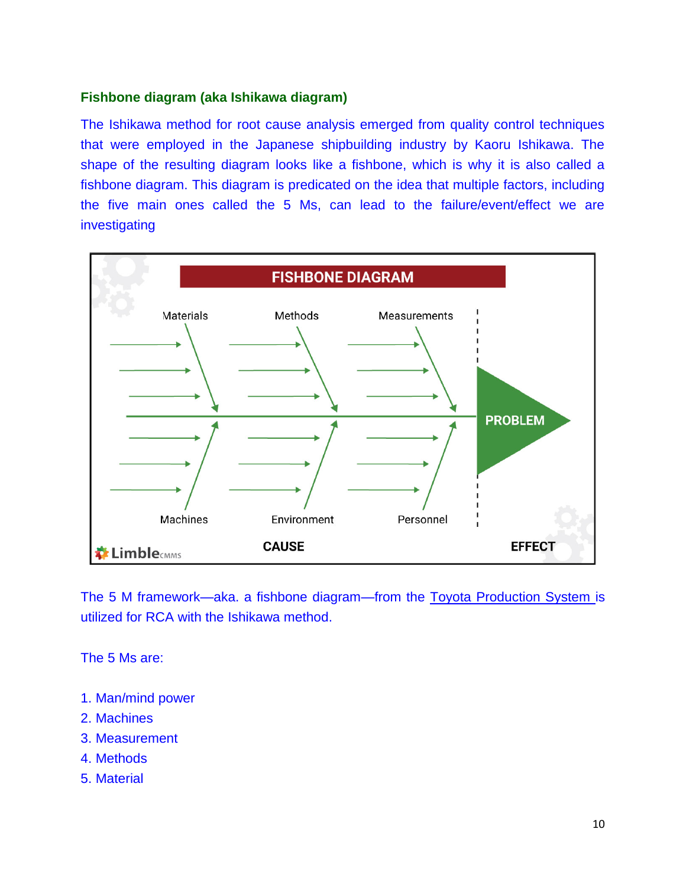# **Fishbone diagram (aka Ishikawa diagram)**

The Ishikawa method for root cause analysis emerged from quality control techniques that were employed in the Japanese shipbuilding industry by Kaoru Ishikawa. The shape of the resulting diagram looks like a fishbone, which is why it is also called a fishbone diagram. This diagram is predicated on the idea that multiple factors, including the five main ones called the 5 Ms, can lead to the failure/event/effect we are investigating



The 5 M framework—aka. a fishbone diagram—from the [Toyota Production System](https://www.leansixsigmadefinition.com/glossary/toyota-production-system/) is utilized for RCA with the Ishikawa method.

The 5 Ms are:

- 1. Man/mind power
- 2. Machines
- 3. Measurement
- 4. Methods
- 5. Material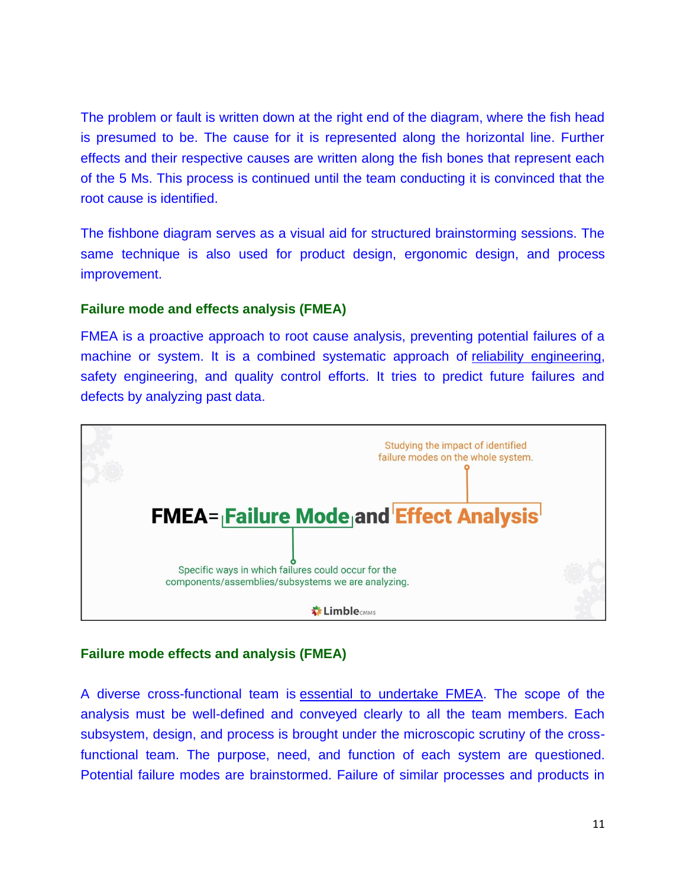The problem or fault is written down at the right end of the diagram, where the fish head is presumed to be. The cause for it is represented along the horizontal line. Further effects and their respective causes are written along the fish bones that represent each of the 5 Ms. This process is continued until the team conducting it is convinced that the root cause is identified.

The fishbone diagram serves as a visual aid for structured brainstorming sessions. The same technique is also used for product design, ergonomic design, and process improvement.

## **Failure mode and effects analysis (FMEA)**

FMEA is a proactive approach to root cause analysis, preventing potential failures of a machine or system. It is a combined systematic approach of [reliability engineering,](https://limblecmms.com/blog/reliability-engineering/) safety engineering, and quality control efforts. It tries to predict future failures and defects by analyzing past data.



# **Failure mode effects and analysis (FMEA)**

A diverse cross-functional team is [essential to undertake FMEA.](https://limblecmms.com/blog/fmea-and-fmeca/) The scope of the analysis must be well-defined and conveyed clearly to all the team members. Each subsystem, design, and process is brought under the microscopic scrutiny of the crossfunctional team. The purpose, need, and function of each system are questioned. Potential failure modes are brainstormed. Failure of similar processes and products in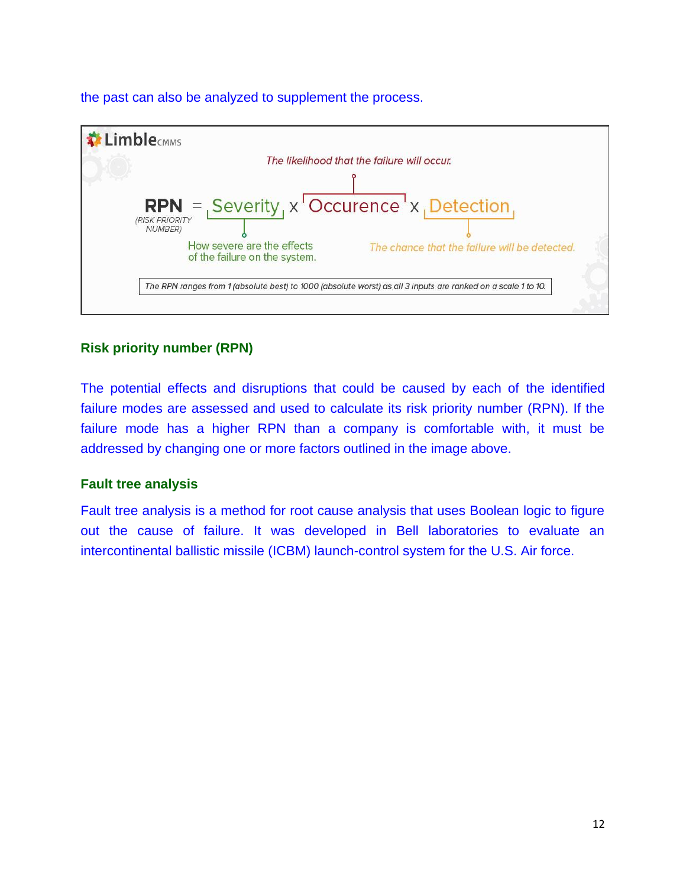the past can also be analyzed to supplement the process.



# **Risk priority number (RPN)**

The potential effects and disruptions that could be caused by each of the identified failure modes are assessed and used to calculate its risk priority number (RPN). If the failure mode has a higher RPN than a company is comfortable with, it must be addressed by changing one or more factors outlined in the image above.

## **Fault tree analysis**

Fault tree analysis is a method for root cause analysis that uses Boolean logic to figure out the cause of failure. It was developed in Bell laboratories to evaluate an intercontinental ballistic missile (ICBM) launch-control system for the U.S. Air force.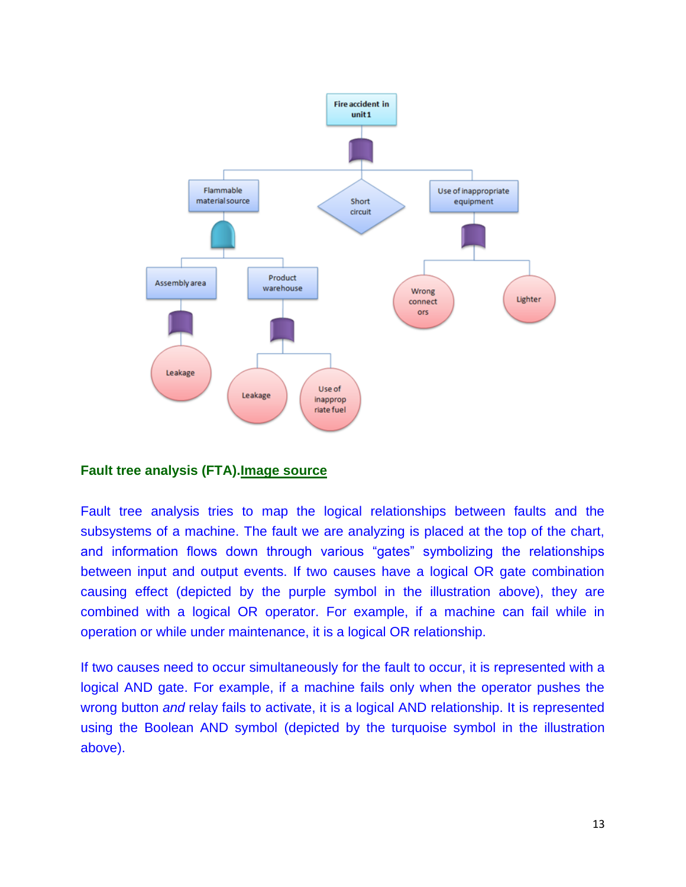

## **Fault tree analysis (FTA)[.Image source](https://sixsigmastudyguide.com/fault-tree-analysis/)**

Fault tree analysis tries to map the logical relationships between faults and the subsystems of a machine. The fault we are analyzing is placed at the top of the chart, and information flows down through various "gates" symbolizing the relationships between input and output events. If two causes have a logical OR gate combination causing effect (depicted by the purple symbol in the illustration above), they are combined with a logical OR operator. For example, if a machine can fail while in operation or while under maintenance, it is a logical OR relationship.

If two causes need to occur simultaneously for the fault to occur, it is represented with a logical AND gate. For example, if a machine fails only when the operator pushes the wrong button *and* relay fails to activate, it is a logical AND relationship. It is represented using the Boolean AND symbol (depicted by the turquoise symbol in the illustration above).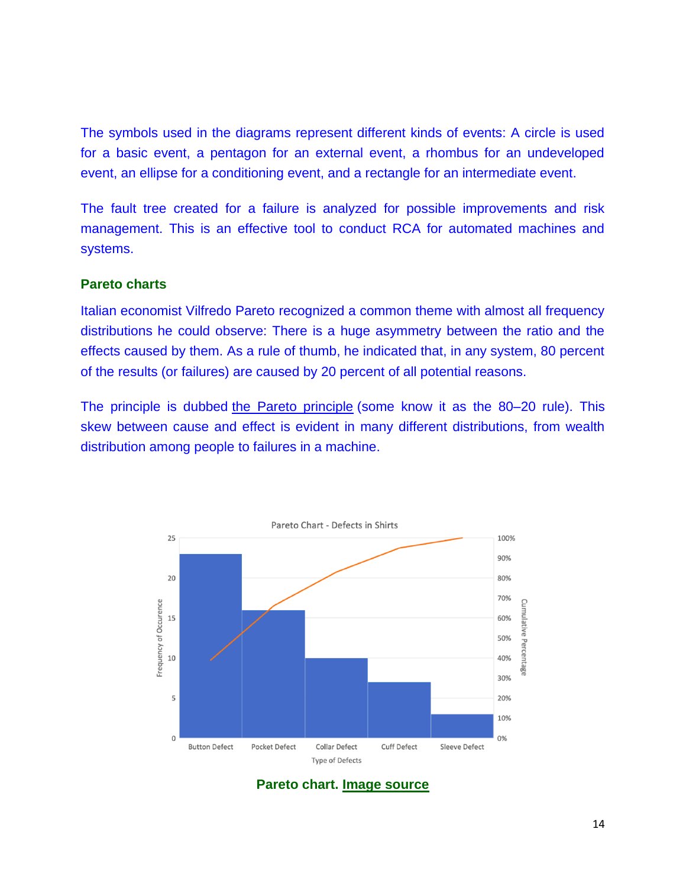The symbols used in the diagrams represent different kinds of events: A circle is used for a basic event, a pentagon for an external event, a rhombus for an undeveloped event, an ellipse for a conditioning event, and a rectangle for an intermediate event.

The fault tree created for a failure is analyzed for possible improvements and risk management. This is an effective tool to conduct RCA for automated machines and systems.

#### **Pareto charts**

Italian economist Vilfredo Pareto recognized a common theme with almost all frequency distributions he could observe: There is a huge asymmetry between the ratio and the effects caused by them. As a rule of thumb, he indicated that, in any system, 80 percent of the results (or failures) are caused by 20 percent of all potential reasons.

The principle is dubbed [the Pareto principle](https://tulip.co/blog/manufacturing/what-is-a-pareto-chart-definition-and-examples/) (some know it as the 80–20 rule). This skew between cause and effect is evident in many different distributions, from wealth distribution among people to failures in a machine.



**Pareto chart. [Image source](https://tulip.co/wp-content/uploads/Pareto-Chart-Defects-in-Shirts.png)**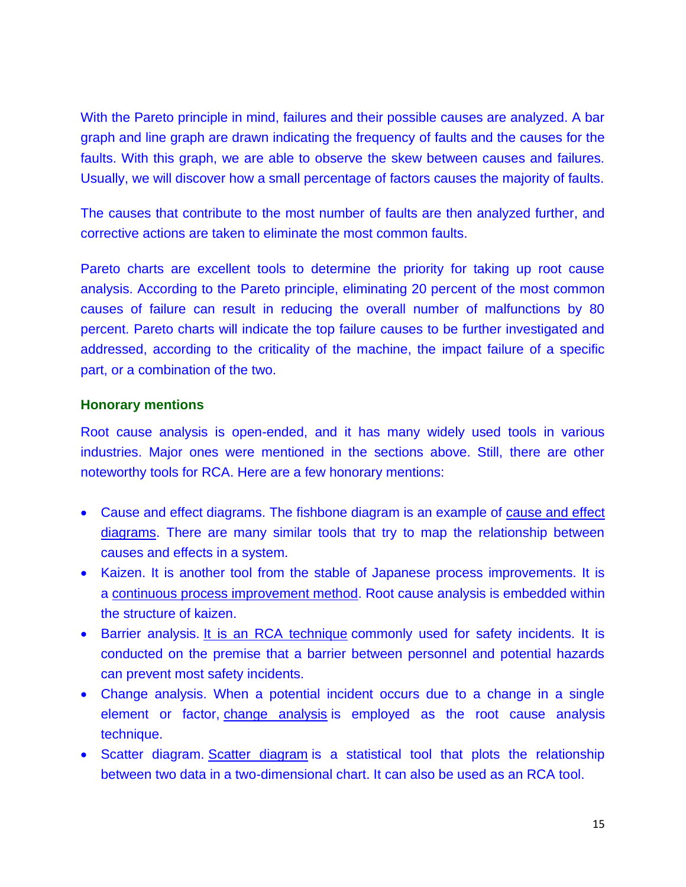With the Pareto principle in mind, failures and their possible causes are analyzed. A bar graph and line graph are drawn indicating the frequency of faults and the causes for the faults. With this graph, we are able to observe the skew between causes and failures. Usually, we will discover how a small percentage of factors causes the majority of faults.

The causes that contribute to the most number of faults are then analyzed further, and corrective actions are taken to eliminate the most common faults.

Pareto charts are excellent tools to determine the priority for taking up root cause analysis. According to the Pareto principle, eliminating 20 percent of the most common causes of failure can result in reducing the overall number of malfunctions by 80 percent. Pareto charts will indicate the top failure causes to be further investigated and addressed, according to the criticality of the machine, the impact failure of a specific part, or a combination of the two.

#### **Honorary mentions**

Root cause analysis is open-ended, and it has many widely used tools in various industries. Major ones were mentioned in the sections above. Still, there are other noteworthy tools for RCA. Here are a few honorary mentions:

- Cause and effect diagrams. The fishbone diagram is an example of [cause and effect](https://www.juran.com/blog/the-ultimate-guide-to-cause-and-effect-diagrams/)  [diagrams.](https://www.juran.com/blog/the-ultimate-guide-to-cause-and-effect-diagrams/) There are many similar tools that try to map the relationship between causes and effects in a system.
- Kaizen. It is another tool from the stable of Japanese process improvements. It is a [continuous process improvement method.](https://www.kaizen.com/what-is-kaizen.html) Root cause analysis is embedded within the structure of kaizen.
- Barrier analysis. [It is an RCA technique](https://blog.thinkreliability.com/what-is-barrier-analysis) commonly used for safety incidents. It is conducted on the premise that a barrier between personnel and potential hazards can prevent most safety incidents.
- Change analysis. When a potential incident occurs due to a change in a single element or factor, [change analysis](https://www.bill-wilson.net/root-cause-analysis/rca-tools/change-analysis) is employed as the root cause analysis technique.
- [Scatter diagram](https://asq.org/quality-resources/scatter-diagram). Scatter diagram is a statistical tool that plots the relationship between two data in a two-dimensional chart. It can also be used as an RCA tool.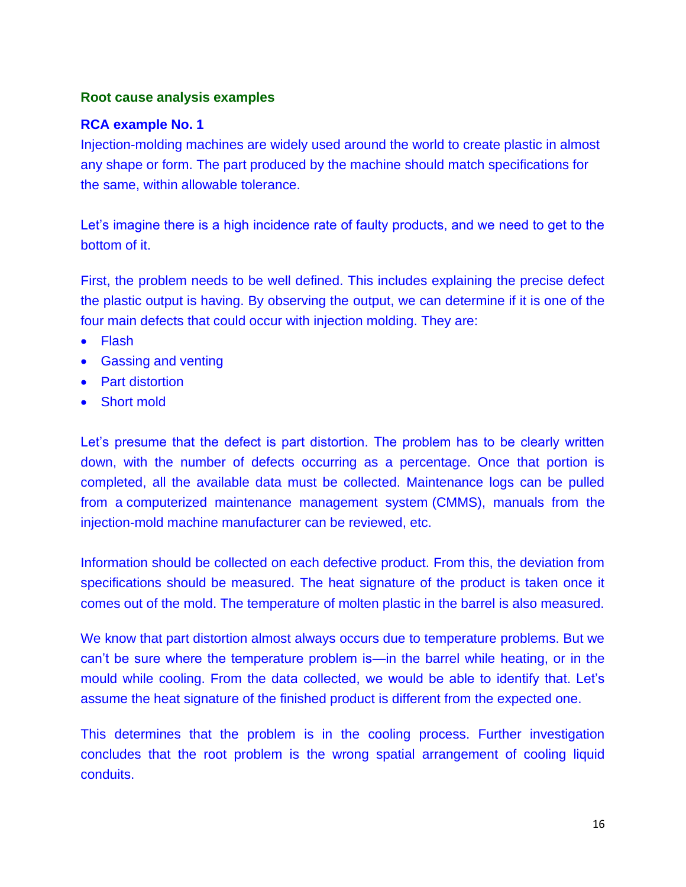# **Root cause analysis examples**

# **RCA example No. 1**

Injection-molding machines are widely used around the world to create plastic in almost any shape or form. The part produced by the machine should match specifications for the same, within allowable tolerance.

Let's imagine there is a high incidence rate of faulty products, and we need to get to the bottom of it.

First, the problem needs to be well defined. This includes explaining the precise defect the plastic output is having. By observing the output, we can determine if it is one of the four main defects that could occur with injection molding. They are:

- Flash
- Gassing and venting
- Part distortion
- Short mold

Let's presume that the defect is part distortion. The problem has to be clearly written down, with the number of defects occurring as a percentage. Once that portion is completed, all the available data must be collected. Maintenance logs can be pulled from a computerized maintenance management system (CMMS), manuals from the injection-mold machine manufacturer can be reviewed, etc.

Information should be collected on each defective product. From this, the deviation from specifications should be measured. The heat signature of the product is taken once it comes out of the mold. The temperature of molten plastic in the barrel is also measured.

We know that part distortion almost always occurs due to temperature problems. But we can't be sure where the temperature problem is—in the barrel while heating, or in the mould while cooling. From the data collected, we would be able to identify that. Let's assume the heat signature of the finished product is different from the expected one.

This determines that the problem is in the cooling process. Further investigation concludes that the root problem is the wrong spatial arrangement of cooling liquid conduits.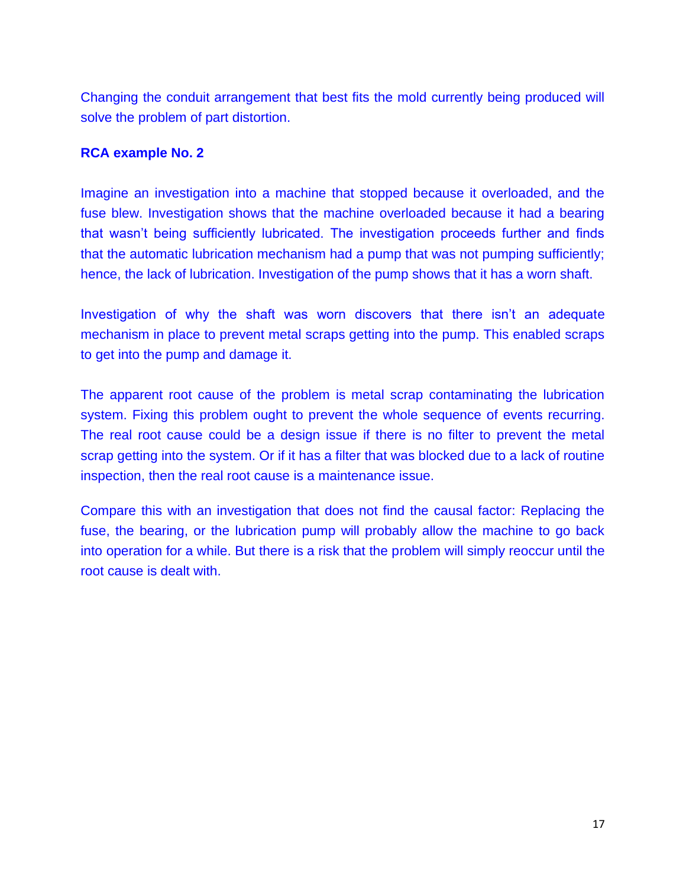Changing the conduit arrangement that best fits the mold currently being produced will solve the problem of part distortion.

## **RCA example No. 2**

Imagine an investigation into a machine that stopped because it overloaded, and the fuse blew. Investigation shows that the machine overloaded because it had a bearing that wasn't being sufficiently lubricated. The investigation proceeds further and finds that the automatic lubrication mechanism had a pump that was not pumping sufficiently; hence, the lack of lubrication. Investigation of the pump shows that it has a worn shaft.

Investigation of why the shaft was worn discovers that there isn't an adequate mechanism in place to prevent metal scraps getting into the pump. This enabled scraps to get into the pump and damage it.

The apparent root cause of the problem is metal scrap contaminating the lubrication system. Fixing this problem ought to prevent the whole sequence of events recurring. The real root cause could be a design issue if there is no filter to prevent the metal scrap getting into the system. Or if it has a filter that was blocked due to a lack of routine inspection, then the real root cause is a maintenance issue.

Compare this with an investigation that does not find the causal factor: Replacing the fuse, the bearing, or the lubrication pump will probably allow the machine to go back into operation for a while. But there is a risk that the problem will simply reoccur until the root cause is dealt with.